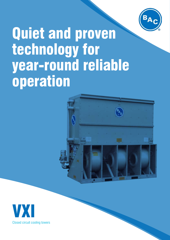

# Quiet and proven technology for year-round reliable operation



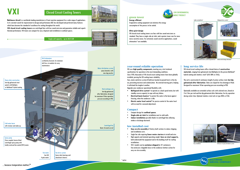## Closed Circuit Cooling Towers

Single cell capacity : up to 2615 kW

**Baltimore Aircoil** is a worldwide leading manufacturer of heat rejection equipment for a wide range of applications. In its constant search for improvement in design and performance BAC has developed and perfected many features

which have become the standard of excellence for cooling throughout the world.



**VXI closed circuit cooling towers** use centrifugal fans with low sound emission and guarantee reliable and superb

thermal performance. VXI towers are compact for easy shipment and installation in confined spaces.

#### year-round reliable operation

VXI uses **high quality components**, meeting very strict technical specifications for operation in the most demanding conditions. Since 1978, thousands of VXI closed circuit cooling towers have been globally installed, proving the VXI cooling tower reliability. Fans, motor and drive system (V-belt) are located at ground level, in the dry air, preventing moisture and condensation. No external moving parts, helping it withstand the toughest weather.

Upgrade your condenser operational flexibility with :

- **• Baltiguard drive system\*** to operate as a dual-speed motor, but with standby reserve capacity to cope with any failure.
- **• Electrical basin heaters\*** to protect the water in the basin against freezing, when the condenser is idle.
- **• Electric water level control\*** for precise control of the water level with no need for seasonal adjustment.

#### **Compact**

Ladder and platform\* Baltiguard drive syste

- Compact design for **confined spaces**.
- **• Single-side air inlet** for installation next to solid walls.
- **• Indoor installation** possible thanks to centrifugal fans allowing intake or discharge ductwork.

#### low installed cost

#### LOW ENVIRONMENTAL **MPACT PRODUCT**



- **• Easy on-site assembly** of factory-built sections to reduce shipping and installation costs.
- Single fan side requiring **fewer motor starters** to install and wire.
- High capacity and minimal operating weight. **Save on steel supports,** both underneath the equipment and in the building itself for rooftop installations.
- VXI-C models can be **container-shipped** (in 10' containers). Fan enclosures shippable loose in the condenser bottom section for easy on-site assembly.



### **Energy efficient**

Evaporative cooling equipment can minimize the energy consumption of the process to be cooled.

#### **Ultra quiet design**

VXI closed circuit cooling towers use fans with low sound emissions as standard. They have a single-side air inlet, and a quieter tower rear for more noise-sensitive areas. For extremely sound sensitive applications, sound attenuators\* are available.



#### long service life

VXI closed circuit cooling towers offer a broad choice of **construction materials**, ranging from galvanized steel (Baltiplus) to the proven Baltibond\* hybrid coating and stainless steel\* (AISI 304L or 316L).

Intake and discharge attenuator\* Easily accessible fan drive system at ground level

The coil is constructed of continuous length of prime surface steel, **hot-dip galvanized after fabrication**. Tubes are sloped for free drainage of fluid. Designed for maximum 10 bar operating pressure according to PED.



Optionally available are extended surface coils with selected rows, finned at 3 to 5 fins per inch and hot-dip galvanized after fabrication, for dry operation during winter time. Optional stainless steel coils in type 304L or 316L.



Easy installation

 $\mathbf{B}_{\mathbf{A_C}}$ 

Full access to spray distribution system